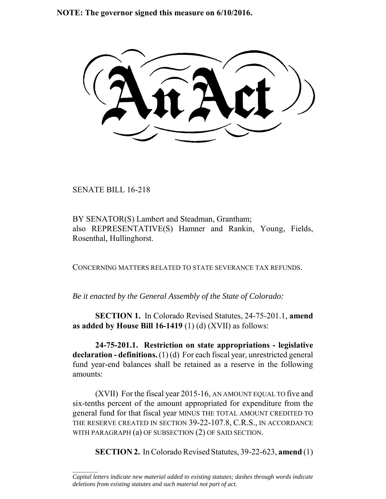**NOTE: The governor signed this measure on 6/10/2016.**

SENATE BILL 16-218

 $\frac{1}{2}$ 

BY SENATOR(S) Lambert and Steadman, Grantham; also REPRESENTATIVE(S) Hamner and Rankin, Young, Fields, Rosenthal, Hullinghorst.

CONCERNING MATTERS RELATED TO STATE SEVERANCE TAX REFUNDS.

*Be it enacted by the General Assembly of the State of Colorado:*

**SECTION 1.** In Colorado Revised Statutes, 24-75-201.1, **amend as added by House Bill 16-1419** (1) (d) (XVII) as follows:

**24-75-201.1. Restriction on state appropriations - legislative declaration - definitions.** (1) (d) For each fiscal year, unrestricted general fund year-end balances shall be retained as a reserve in the following amounts:

(XVII) For the fiscal year 2015-16, AN AMOUNT EQUAL TO five and six-tenths percent of the amount appropriated for expenditure from the general fund for that fiscal year MINUS THE TOTAL AMOUNT CREDITED TO THE RESERVE CREATED IN SECTION 39-22-107.8, C.R.S., IN ACCORDANCE WITH PARAGRAPH (a) OF SUBSECTION (2) OF SAID SECTION.

**SECTION 2.** In Colorado Revised Statutes, 39-22-623, **amend** (1)

*Capital letters indicate new material added to existing statutes; dashes through words indicate deletions from existing statutes and such material not part of act.*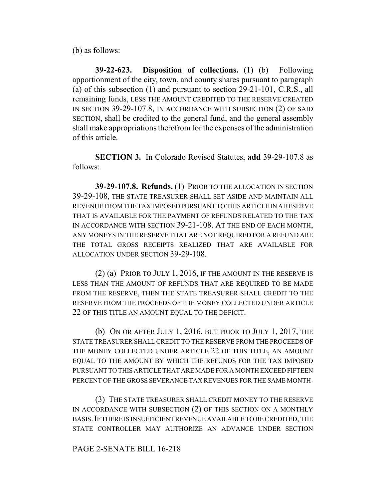(b) as follows:

**39-22-623. Disposition of collections.** (1) (b) Following apportionment of the city, town, and county shares pursuant to paragraph (a) of this subsection (1) and pursuant to section 29-21-101, C.R.S., all remaining funds, LESS THE AMOUNT CREDITED TO THE RESERVE CREATED IN SECTION 39-29-107.8, IN ACCORDANCE WITH SUBSECTION (2) OF SAID SECTION, shall be credited to the general fund, and the general assembly shall make appropriations therefrom for the expenses of the administration of this article.

**SECTION 3.** In Colorado Revised Statutes, **add** 39-29-107.8 as follows:

**39-29-107.8. Refunds.** (1) PRIOR TO THE ALLOCATION IN SECTION 39-29-108, THE STATE TREASURER SHALL SET ASIDE AND MAINTAIN ALL REVENUE FROM THE TAX IMPOSED PURSUANT TO THIS ARTICLE IN A RESERVE THAT IS AVAILABLE FOR THE PAYMENT OF REFUNDS RELATED TO THE TAX IN ACCORDANCE WITH SECTION 39-21-108. AT THE END OF EACH MONTH, ANY MONEYS IN THE RESERVE THAT ARE NOT REQUIRED FOR A REFUND ARE THE TOTAL GROSS RECEIPTS REALIZED THAT ARE AVAILABLE FOR ALLOCATION UNDER SECTION 39-29-108.

(2) (a) PRIOR TO JULY 1, 2016, IF THE AMOUNT IN THE RESERVE IS LESS THAN THE AMOUNT OF REFUNDS THAT ARE REQUIRED TO BE MADE FROM THE RESERVE, THEN THE STATE TREASURER SHALL CREDIT TO THE RESERVE FROM THE PROCEEDS OF THE MONEY COLLECTED UNDER ARTICLE 22 OF THIS TITLE AN AMOUNT EQUAL TO THE DEFICIT.

(b) ON OR AFTER JULY 1, 2016, BUT PRIOR TO JULY 1, 2017, THE STATE TREASURER SHALL CREDIT TO THE RESERVE FROM THE PROCEEDS OF THE MONEY COLLECTED UNDER ARTICLE 22 OF THIS TITLE, AN AMOUNT EQUAL TO THE AMOUNT BY WHICH THE REFUNDS FOR THE TAX IMPOSED PURSUANT TO THIS ARTICLE THAT ARE MADE FOR A MONTH EXCEED FIFTEEN PERCENT OF THE GROSS SEVERANCE TAX REVENUES FOR THE SAME MONTH.

(3) THE STATE TREASURER SHALL CREDIT MONEY TO THE RESERVE IN ACCORDANCE WITH SUBSECTION (2) OF THIS SECTION ON A MONTHLY BASIS.IF THERE IS INSUFFICIENT REVENUE AVAILABLE TO BE CREDITED, THE STATE CONTROLLER MAY AUTHORIZE AN ADVANCE UNDER SECTION

## PAGE 2-SENATE BILL 16-218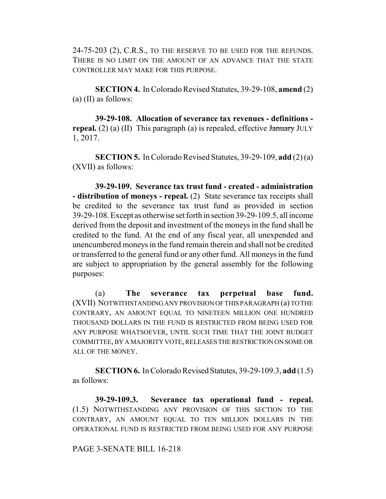24-75-203 (2), C.R.S., TO THE RESERVE TO BE USED FOR THE REFUNDS. THERE IS NO LIMIT ON THE AMOUNT OF AN ADVANCE THAT THE STATE CONTROLLER MAY MAKE FOR THIS PURPOSE.

**SECTION 4.** In Colorado Revised Statutes, 39-29-108, **amend** (2) (a) (II) as follows:

**39-29-108. Allocation of severance tax revenues - definitions repeal.** (2) (a) (II) This paragraph (a) is repealed, effective  $\frac{1}{2}$  JULY 1, 2017.

**SECTION 5.** In Colorado Revised Statutes, 39-29-109, **add** (2) (a) (XVII) as follows:

**39-29-109. Severance tax trust fund - created - administration - distribution of moneys - repeal.** (2) State severance tax receipts shall be credited to the severance tax trust fund as provided in section 39-29-108. Except as otherwise set forth in section 39-29-109.5, all income derived from the deposit and investment of the moneys in the fund shall be credited to the fund. At the end of any fiscal year, all unexpended and unencumbered moneys in the fund remain therein and shall not be credited or transferred to the general fund or any other fund. All moneys in the fund are subject to appropriation by the general assembly for the following purposes:

(a) **The severance tax perpetual base fund.** (XVII) NOTWITHSTANDING ANY PROVISION OF THIS PARAGRAPH (a) TO THE CONTRARY, AN AMOUNT EQUAL TO NINETEEN MILLION ONE HUNDRED THOUSAND DOLLARS IN THE FUND IS RESTRICTED FROM BEING USED FOR ANY PURPOSE WHATSOEVER, UNTIL SUCH TIME THAT THE JOINT BUDGET COMMITTEE, BY A MAJORITY VOTE, RELEASES THE RESTRICTION ON SOME OR ALL OF THE MONEY.

**SECTION 6.** In Colorado Revised Statutes, 39-29-109.3, **add** (1.5) as follows:

**39-29-109.3. Severance tax operational fund - repeal.** (1.5) NOTWITHSTANDING ANY PROVISION OF THIS SECTION TO THE CONTRARY, AN AMOUNT EQUAL TO TEN MILLION DOLLARS IN THE OPERATIONAL FUND IS RESTRICTED FROM BEING USED FOR ANY PURPOSE

## PAGE 3-SENATE BILL 16-218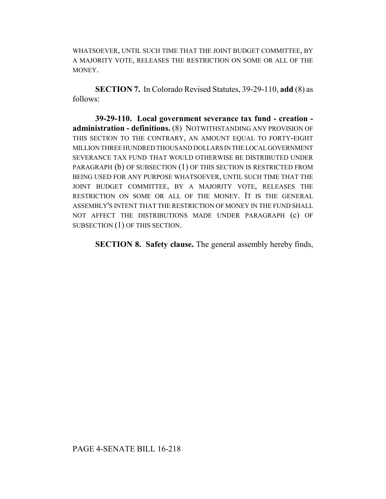WHATSOEVER, UNTIL SUCH TIME THAT THE JOINT BUDGET COMMITTEE, BY A MAJORITY VOTE, RELEASES THE RESTRICTION ON SOME OR ALL OF THE MONEY.

**SECTION 7.** In Colorado Revised Statutes, 39-29-110, **add** (8) as follows:

**39-29-110. Local government severance tax fund - creation administration - definitions.** (8) NOTWITHSTANDING ANY PROVISION OF THIS SECTION TO THE CONTRARY, AN AMOUNT EQUAL TO FORTY-EIGHT MILLION THREE HUNDRED THOUSAND DOLLARS IN THE LOCAL GOVERNMENT SEVERANCE TAX FUND THAT WOULD OTHERWISE BE DISTRIBUTED UNDER PARAGRAPH (b) OF SUBSECTION (1) OF THIS SECTION IS RESTRICTED FROM BEING USED FOR ANY PURPOSE WHATSOEVER, UNTIL SUCH TIME THAT THE JOINT BUDGET COMMITTEE, BY A MAJORITY VOTE, RELEASES THE RESTRICTION ON SOME OR ALL OF THE MONEY. IT IS THE GENERAL ASSEMBLY'S INTENT THAT THE RESTRICTION OF MONEY IN THE FUND SHALL NOT AFFECT THE DISTRIBUTIONS MADE UNDER PARAGRAPH (c) OF SUBSECTION (1) OF THIS SECTION.

**SECTION 8. Safety clause.** The general assembly hereby finds,